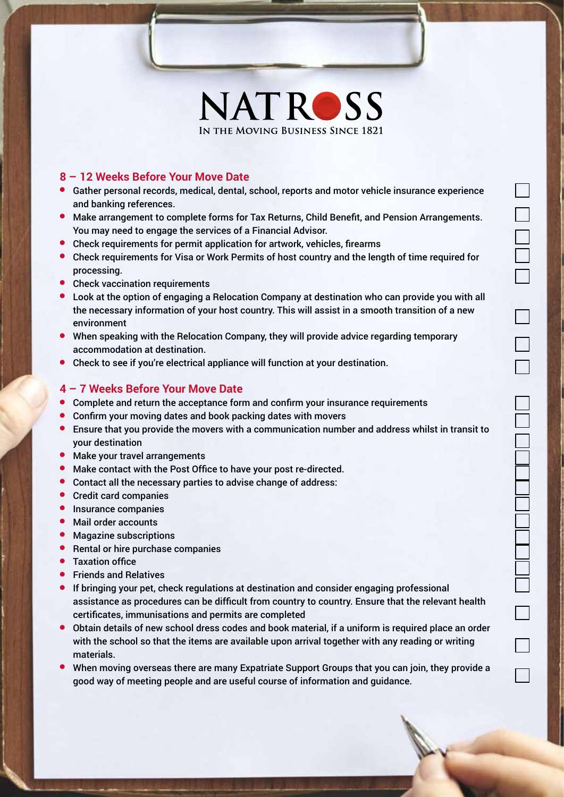

**NATROSS**

Ō<br>O

 $\Box$ 

 $\Box$ 

## **8 – 12 Weeks Before Your Move Date**

- **Gather personal records, medical, dental, school, reports and motor vehicle insurance experience** and banking references.
- **Make arrangement to complete forms for Tax Returns, Child Benefit, and Pension Arrangements.** You may need to engage the services of a Financial Advisor.
- Check requirements for permit application for artwork, vehicles, firearms
- **Check requirements for Visa or Work Permits of host country and the length of time required for** processing.
- **•** Check vaccination requirements
- $\bullet$  Look at the option of engaging a Relocation Company at destination who can provide you with all the necessary information of your host country. This will assist in a smooth transition of a new environment
- <sup>l</sup> When speaking with the Relocation Company, they will provide advice regarding temporary accommodation at destination.
- Check to see if you're electrical appliance will function at your destination.

## **4 – 7 Weeks Before Your Move Date**

- **Complete and return the acceptance form and confirm your insurance requirements**
- Confirm your moving dates and book packing dates with movers
- <sup>l</sup> Ensure that you provide the movers with a communication number and address whilst in transit to your destination
- **•** Make your travel arrangements
- **C** Make contact with the Post Office to have your post re-directed.
- Contact all the necessary parties to advise change of address:
- **•** Credit card companies
- **•** Insurance companies
- Mail order accounts
- Magazine subscriptions
- **Rental or hire purchase companies**
- **•** Taxation office
- **•** Friends and Relatives
- **If bringing your pet, check regulations at destination and consider engaging professional** assistance as procedures can be difficult from country to country. Ensure that the relevant health certificates, immunisations and permits are completed
- **•** Obtain details of new school dress codes and book material, if a uniform is required place an order with the school so that the items are available upon arrival together with any reading or writing materials.
- <sup>l</sup> When moving overseas there are many Expatriate Support Groups that you can join, they provide a good way of meeting people and are useful course of information and guidance.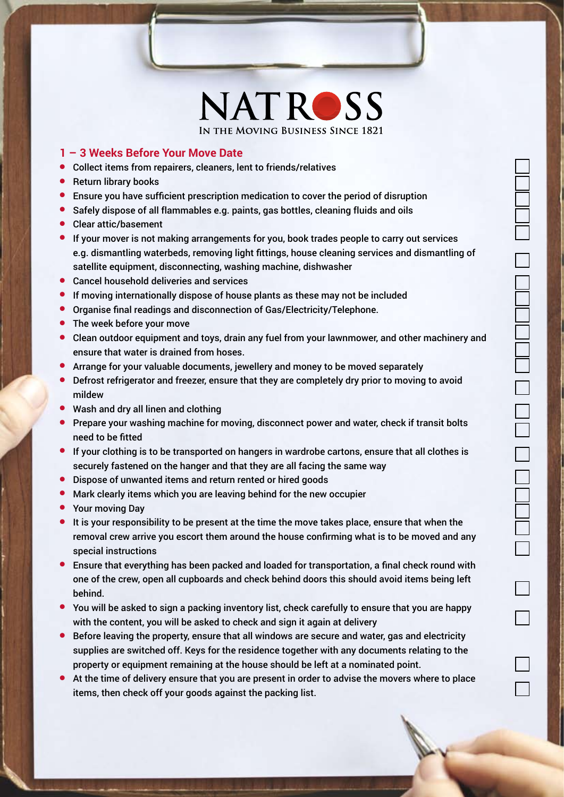

**NATROSS**

 $\Box$ 

## **1 – 3 Weeks Before Your Move Date**

- **•** Collect items from repairers, cleaners, lent to friends/relatives
- **•** Return library books
- $\bullet$  Ensure you have sufficient prescription medication to cover the period of disruption
- **•** Safely dispose of all flammables e.g. paints, gas bottles, cleaning fluids and oils
- Clear attic/basement
- $\bullet$  If your mover is not making arrangements for you, book trades people to carry out services e.g. dismantling waterbeds, removing light fittings, house cleaning services and dismantling of satellite equipment, disconnecting, washing machine, dishwasher
- **•** Cancel household deliveries and services
- $\bullet$  If moving internationally dispose of house plants as these may not be included
- **•** Organise final readings and disconnection of Gas/Electricity/Telephone.
- The week before your move
- **Clean outdoor equipment and toys, drain any fuel from your lawnmower, and other machinery and** ensure that water is drained from hoses.
- <sup>l</sup> Arrange for your valuable documents, jewellery and money to be moved separately
- <sup>l</sup> Defrost refrigerator and freezer, ensure that they are completely dry prior to moving to avoid mildew
- Wash and dry all linen and clothing
- **Prepare your washing machine for moving, disconnect power and water, check if transit bolts** need to be fitted
- $\bullet$  If your clothing is to be transported on hangers in wardrobe cartons, ensure that all clothes is securely fastened on the hanger and that they are all facing the same way
- **•** Dispose of unwanted items and return rented or hired goods
- Mark clearly items which you are leaving behind for the new occupier
- Your moving Day
- $\bullet$  It is your responsibility to be present at the time the move takes place, ensure that when the removal crew arrive you escort them around the house confirming what is to be moved and any special instructions
- **E** Ensure that everything has been packed and loaded for transportation, a final check round with one of the crew, open all cupboards and check behind doors this should avoid items being left behind.
- $\bullet$  You will be asked to sign a packing inventory list, check carefully to ensure that you are happy with the content, you will be asked to check and sign it again at delivery
- <sup>l</sup> Before leaving the property, ensure that all windows are secure and water, gas and electricity supplies are switched off. Keys for the residence together with any documents relating to the property or equipment remaining at the house should be left at a nominated point.
- <sup>l</sup> At the time of delivery ensure that you are present in order to advise the movers where to place items, then check off your goods against the packing list.